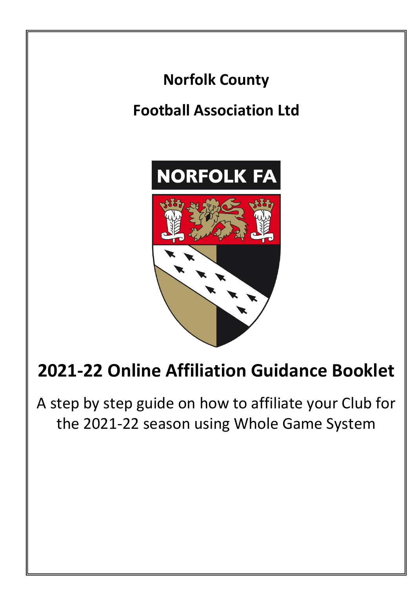

A step by step guide on how to affiliate your Club for the 2021-22 season using Whole Game System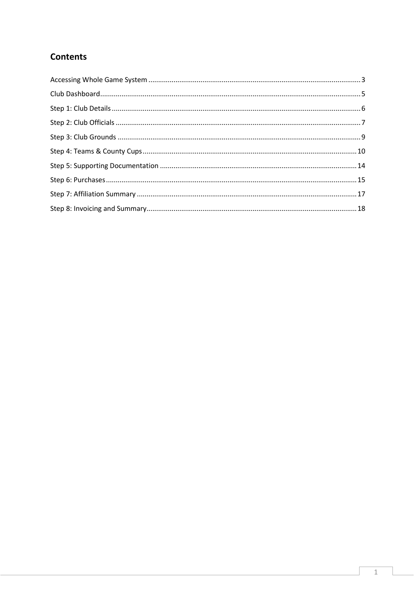# **Contents**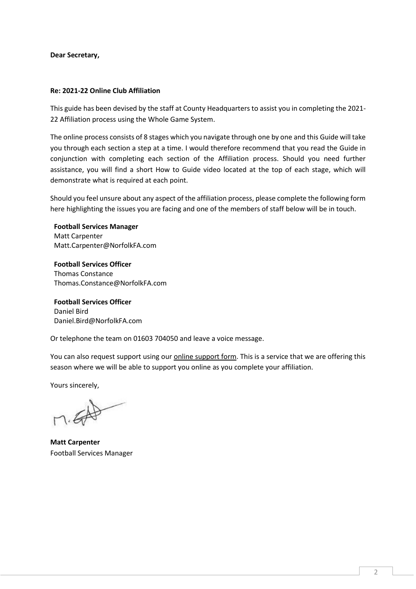**Dear Secretary,**

#### **Re: 2021-22 Online Club Affiliation**

This guide has been devised by the staff at County Headquarters to assist you in completing the 2021- 22 Affiliation process using the Whole Game System.

The online process consists of 8 stages which you navigate through one by one and this Guide will take you through each section a step at a time. I would therefore recommend that you read the Guide in conjunction with completing each section of the Affiliation process. Should you need further assistance, you will find a short How to Guide video located at the top of each stage, which will demonstrate what is required at each point.

Should you feel unsure about any aspect of the affiliation process, please complete the following form here highlighting the issues you are facing and one of the members of staff below will be in touch.

**Football Services Manager** Matt Carpenter Matt.Carpenter@NorfolkFA.com

**Football Services Officer** Thomas Constance Thomas.Constance@NorfolkFA.com

**Football Services Officer** Daniel Bird Daniel.Bird@NorfolkFA.com

Or telephone the team on 01603 704050 and leave a voice message.

You can also request support using ou[r online support form.](https://forms.office.com/Pages/ResponsePage.aspx?id=kCXJRcbM-UaA_5_I2e3eOS8O2KVf_ZpAgZpbBJaPuSFUNzEwMTFQU0dINVc0NUI5RlJIWEQyMzRQUS4u) This is a service that we are offering this season where we will be able to support you online as you complete your affiliation.

Yours sincerely,

**Matt Carpenter** Football Services Manager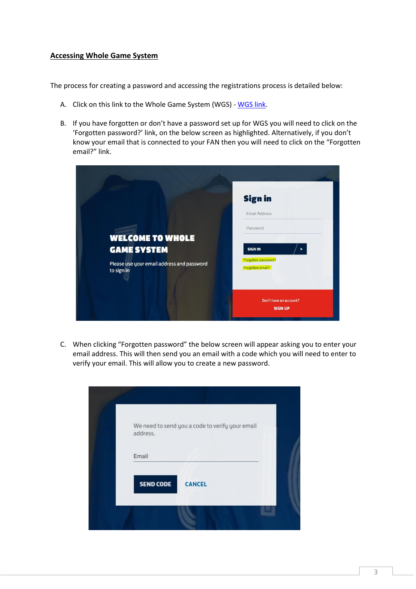#### <span id="page-3-0"></span>**Accessing Whole Game System**

The process for creating a password and accessing the registrations process is detailed below:

- A. Click on this link to the Whole Game System (WGS) [WGS link.](https://wholegame.thefa.com/)
- B. If you have forgotten or don't have a password set up for WGS you will need to click on the 'Forgotten password?' link, on the below screen as highlighted. Alternatively, if you don't know your email that is connected to your FAN then you will need to click on the "Forgotten email?" link.



C. When clicking "Forgotten password" the below screen will appear asking you to enter your email address. This will then send you an email with a code which you will need to enter to verify your email. This will allow you to create a new password.

| address.         | We need to send you a code to verify your email |  |
|------------------|-------------------------------------------------|--|
| Email            |                                                 |  |
| <b>SEND CODE</b> | <b>CANCEL</b>                                   |  |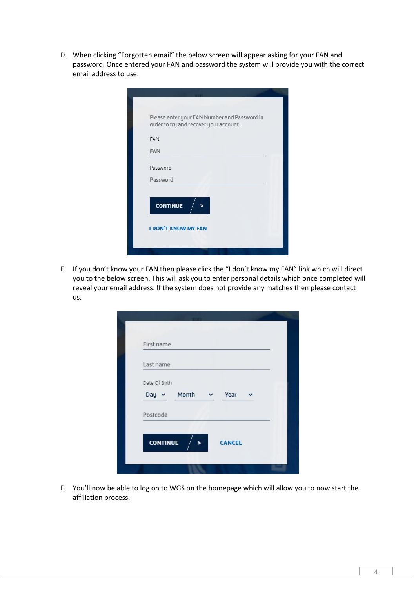D. When clicking "Forgotten email" the below screen will appear asking for your FAN and password. Once entered your FAN and password the system will provide you with the correct email address to use.

|                            | Please enter your FAN Number and Password in |
|----------------------------|----------------------------------------------|
|                            | order to try and recover your account.       |
| FAN                        |                                              |
| <b>FAN</b>                 |                                              |
| Password                   |                                              |
| Password                   |                                              |
| <b>CONTINUE</b>            |                                              |
|                            |                                              |
| <b>I DON'T KNOW MY FAN</b> |                                              |

E. If you don't know your FAN then please click the "I don't know my FAN" link which will direct you to the below screen. This will ask you to enter personal details which once completed will reveal your email address. If the system does not provide any matches then please contact us.

| First name                            |  |               |  |
|---------------------------------------|--|---------------|--|
| Last name                             |  |               |  |
| Date Of Birth<br>Day v Month v Year v |  |               |  |
| Postcode                              |  |               |  |
| <b>CONTINUE</b>                       |  | <b>CANCEL</b> |  |

F. You'll now be able to log on to WGS on the homepage which will allow you to now start the affiliation process.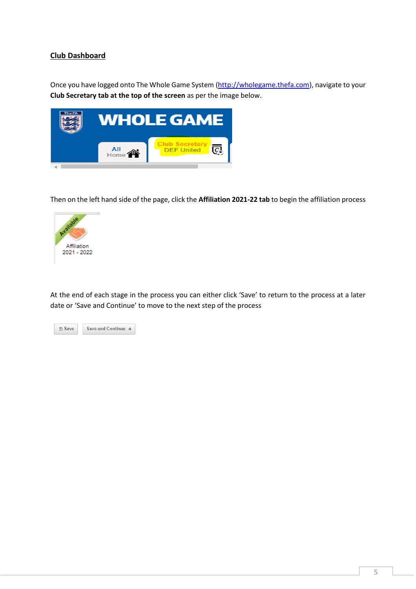## <span id="page-5-0"></span>**Club Dashboard**

Once you have logged onto The Whole Game System [\(http://wholegame.thefa.com\)](http://wholegame.thefa.com/), navigate to your **Club Secretary tab at the top of the screen** as per the image below.



Then on the left hand side of the page, click the **Affiliation 2021-22 tab** to begin the affiliation process



At the end of each stage in the process you can either click 'Save' to return to the process at a later date or 'Save and Continue' to move to the next step of the process

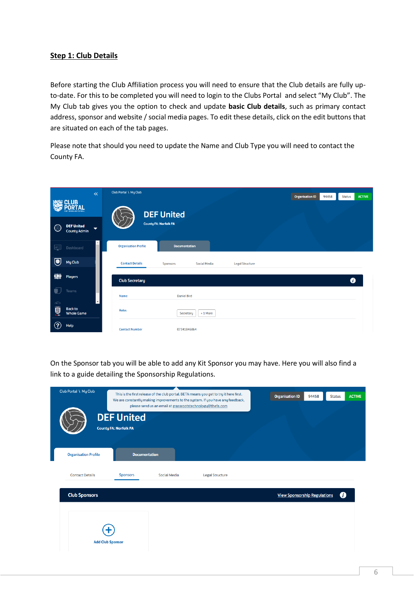## <span id="page-6-0"></span>**Step 1: Club Details**

Before starting the Club Affiliation process you will need to ensure that the Club details are fully upto-date. For this to be completed you will need to login to the Clubs Portal and select "My Club". The My Club tab gives you the option to check and update **basic Club details**, such as primary contact address, sponsor and website / social media pages. To edit these details, click on the edit buttons that are situated on each of the tab pages.

Please note that should you need to update the Name and Club Type you will need to contact the County FA.

|                         |                                                  | $\ll$                    | Club Portal \ My Club       |                              |              |                        | <b>Organisation ID</b> | 94458 | <b>Status</b>       | <b>ACTIVE</b> |
|-------------------------|--------------------------------------------------|--------------------------|-----------------------------|------------------------------|--------------|------------------------|------------------------|-------|---------------------|---------------|
|                         | <b>とき CLUB</b><br><b>MAT OF ENGLAND FOOTBALL</b> |                          |                             | <b>DEF United</b>            |              |                        |                        |       |                     |               |
| ☺                       | <b>DEF United</b><br><b>County Admin</b>         | $\overline{\phantom{0}}$ |                             | <b>County FA: Norfolk FA</b> |              |                        |                        |       |                     |               |
| ai <sup>(1</sup>        | Dashboard                                        | $\blacktriangle$         | <b>Organisation Profile</b> | <b>Documentation</b>         |              |                        |                        |       |                     |               |
| G                       | My Club                                          |                          | <b>Contact Details</b>      | <b>Sponsors</b>              | Social Media | <b>Legal Structure</b> |                        |       |                     |               |
| iiji                    | <b>Players</b>                                   |                          | <b>Club Secretary</b>       |                              |              |                        |                        |       | $\ddot{\mathbf{0}}$ |               |
| U                       | Teams                                            |                          | <b>Name</b>                 | <b>Daniel Bird</b>           |              |                        |                        |       |                     |               |
| $\curvearrowleft$<br>ē. | <b>Back to</b><br><b>Whole Game</b>              | $\overline{\phantom{a}}$ | <b>Roles</b>                | Secretary                    | +1 More      |                        |                        |       |                     |               |
| $\circledR$             | Help                                             |                          | <b>Contact Number</b>       | 07341846864                  |              |                        |                        |       |                     |               |

On the Sponsor tab you will be able to add any Kit Sponsor you may have. Here you will also find a link to a guide detailing the Sponsorship Regulations.

| Club Portal \ My Club       |                                                   | please send us an email at grassrootstechnology@thefa.com | This is the first release of the club portal. BETA means you get to try it here first.<br>We are constantly making improvements to the system. If you have any feedback, | <b>Organisation ID</b><br>94458     | <b>ACTIVE</b><br><b>Status</b> |
|-----------------------------|---------------------------------------------------|-----------------------------------------------------------|--------------------------------------------------------------------------------------------------------------------------------------------------------------------------|-------------------------------------|--------------------------------|
|                             | <b>DEF United</b><br><b>County FA: Norfolk FA</b> |                                                           |                                                                                                                                                                          |                                     |                                |
| <b>Organisation Profile</b> | <b>Documentation</b>                              |                                                           |                                                                                                                                                                          |                                     |                                |
| <b>Contact Details</b>      | <b>Sponsors</b>                                   | <b>Social Media</b>                                       | <b>Legal Structure</b>                                                                                                                                                   |                                     |                                |
| <b>Club Sponsors</b>        |                                                   |                                                           |                                                                                                                                                                          | <b>View Sponsorship Regulations</b> | ø                              |
|                             | <b>Add Club Sponsor</b>                           |                                                           |                                                                                                                                                                          |                                     |                                |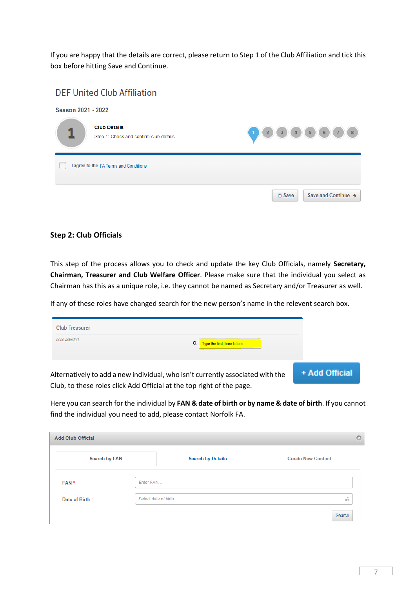If you are happy that the details are correct, please return to Step 1 of the Club Affiliation and tick this box before hitting Save and Continue.

|                    | <b>DEF United Club Affiliation</b>                             |                                               |
|--------------------|----------------------------------------------------------------|-----------------------------------------------|
| Season 2021 - 2022 |                                                                |                                               |
|                    | <b>Club Details</b><br>Step 1: Check and confirm club details. | 8<br>5<br>$\mathbf{3}$<br>6<br>$\overline{2}$ |
|                    | I agree to the FA Terms and Conditions                         |                                               |
|                    |                                                                | Save and Continue →<br><b>图 Save</b>          |

### <span id="page-7-0"></span>**Step 2: Club Officials**

This step of the process allows you to check and update the key Club Officials, namely **Secretary, Chairman, Treasurer and Club Welfare Officer**. Please make sure that the individual you select as Chairman has this as a unique role, i.e. they cannot be named as Secretary and/or Treasurer as well.

If any of these roles have changed search for the new person's name in the relevent search box.

| <b>Club Treasurer</b>                                                 |                                                                                |                |
|-----------------------------------------------------------------------|--------------------------------------------------------------------------------|----------------|
| none selected                                                         | Type the first three letters                                                   |                |
|                                                                       | Alternatively to add a new individual, who isn't currently associated with the | + Add Official |
| Club, to these roles click Add Official at the top right of the page. |                                                                                |                |

Here you can search for the individual by **FAN & date of birth or by name & date of birth**. If you cannot find the individual you need to add, please contact Norfolk FA.

| <b>Add Club Official</b> |           |                          | $\circ$                   |
|--------------------------|-----------|--------------------------|---------------------------|
| <b>Search by FAN</b>     |           | <b>Search by Details</b> | <b>Create New Contact</b> |
| FAN <sup>*</sup>         | Enter FAN |                          |                           |
| Date of Birth *          |           | Select date of birth     | 雦                         |
|                          |           |                          | Search                    |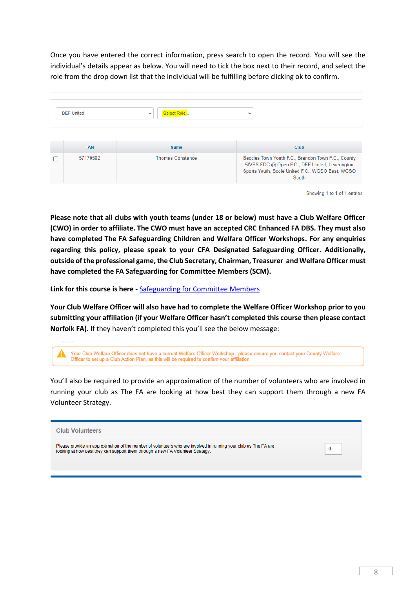Once you have entered the correct information, press search to open the record. You will see the individual's details appear as below. You will need to tick the box next to their record, and select the role from the drop down list that the individual will be fulfilling before clicking ok to confirm.

| <b>DEF United</b> | Select Role<br>$\checkmark$ | $\checkmark$                                                                                                                                                      |
|-------------------|-----------------------------|-------------------------------------------------------------------------------------------------------------------------------------------------------------------|
| <b>FAN</b>        | <b>Name</b>                 | <b>Club</b>                                                                                                                                                       |
| 57170502          | <b>Thomas Constance</b>     | Beccles Town Youth F.C., Brandon Town F.C., County<br>5IVES FDC @ Open F.C., DEF United, Leverington<br>Sports Youth, Scole United F.C., WGSO East, WGSO<br>South |

Showing 1 to 1 of 1 entries

**Please note that all clubs with youth teams (under 18 or below) must have a Club Welfare Officer (CWO) in order to affiliate. The CWO must have an accepted CRC Enhanced FA DBS. They must also have completed The FA Safeguarding Children and Welfare Officer Workshops. For any enquiries regarding this policy, please speak to your CFA Designated Safeguarding Officer. Additionally, outside of the professional game, the Club Secretary, Chairman, Treasurer and Welfare Officer must have completed the FA Safeguarding for Committee Members (SCM).**

**Link for this course is here -** [Safeguarding for Committee Members](https://falearning.thefa.com/enrol/index.php?id=77)

**Your Club Welfare Officer will also have had to complete the Welfare Officer Workshop prior to you submitting your affiliation (if your Welfare Officer hasn't completed this course then please contact Norfolk FA).** If they haven't completed this you'll see the below message:

| Your Club Welfare Officer does not have a current Welfare Officer Workshop - please ensure you contact your County Welfare |
|----------------------------------------------------------------------------------------------------------------------------|
| Officer to set up a Club Action Plan, as this will be required to confirm your affiliation                                 |

You'll also be required to provide an approximation of the number of volunteers who are involved in running your club as The FA are looking at how best they can support them through a new FA Volunteer Strategy.

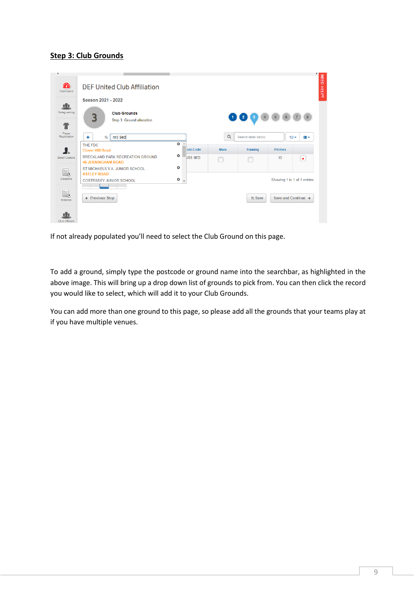## <span id="page-9-0"></span>**Step 3: Club Grounds**

| Dashboard               |                                                               |           |                          |             |                    |                             |                           |
|-------------------------|---------------------------------------------------------------|-----------|--------------------------|-------------|--------------------|-----------------------------|---------------------------|
|                         | Season 2021 - 2022                                            |           |                          |             |                    |                             |                           |
| 儿<br>Safeguarding<br>40 | <b>Club Crounds</b><br>R<br>Step 3: Ground allocation         |           |                          |             | $\mathbf 2$        | 5<br>6                      | $\overline{\mathbf{8}}$   |
| Player<br>Registration  | nr5 9ed<br>٠<br>$\alpha$                                      |           |                          | $\alpha$    | Search table below | $10 -$                      | iii v                     |
| K.                      | THE FDC<br><b>Clover Hill Road</b>                            | O         | ost Code                 | <b>Main</b> | <b>Training</b>    | <b>Pitches</b>              |                           |
| Email Capture           | BRECKLAND PARK RECREATION GROUND<br><b>46 JERNINGHAM ROAD</b> | O         | <b>IR5 9ED</b>           |             |                    | 10                          | $\boldsymbol{\mathsf{x}}$ |
| E.                      | ST MICHAELS V.A. JUNIOR SCHOOL<br><b>ASTLEY ROAD</b>          | O         |                          |             |                    |                             |                           |
| <b>Discipline</b>       | <b>COSTESSEY JUNIOR SCHOOL</b>                                | $\bullet$ | $\overline{\phantom{a}}$ |             |                    | Showing 1 to 1 of 1 entries |                           |
| 5.<br>Matches           | ← Previous Step                                               |           |                          |             | <b>图 Save</b>      | Save and Continue →         |                           |

If not already populated you'll need to select the Club Ground on this page.

To add a ground, simply type the postcode or ground name into the searchbar, as highlighted in the above image. This will bring up a drop down list of grounds to pick from. You can then click the record you would like to select, which will add it to your Club Grounds.

You can add more than one ground to this page, so please add all the grounds that your teams play at if you have multiple venues.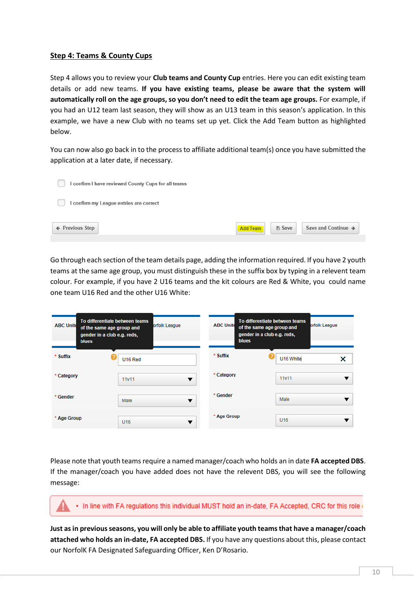### <span id="page-10-0"></span>**Step 4: Teams & County Cups**

Step 4 allows you to review your **Club teams and County Cup** entries. Here you can edit existing team details or add new teams. **If you have existing teams, please be aware that the system will automatically roll on the age groups, so you don't need to edit the team age groups.** For example, if you had an U12 team last season, they will show as an U13 team in this season's application. In this example, we have a new Club with no teams set up yet. Click the Add Team button as highlighted below.

You can now also go back in to the process to affiliate additional team(s) once you have submitted the application at a later date, if necessary.

| I confirm I have reviewed County Cups for all teams |                           |                                 |
|-----------------------------------------------------|---------------------------|---------------------------------|
| I confirm my League entries are correct             |                           |                                 |
| ← Previous Step                                     | Add Team<br><b>图 Save</b> | Save and Continue $\rightarrow$ |

Go through each section of the team details page, adding the information required. If you have 2 youth teams at the same age group, you must distinguish these in the suffix box by typing in a relevent team colour. For example, if you have 2 U16 teams and the kit colours are Red & White, you could name one team U16 Red and the other U16 White:

| To differentiate between teams<br><b>ABC Unite</b><br>of the same age group and<br>gender in a club e.g. reds,<br><b>blues</b> | orfolk League | <b>ABC Unite</b><br><b>blues</b> | To differentiate between teams<br>orfolk League<br>of the same age group and<br>gender in a club e.g. reds, |   |
|--------------------------------------------------------------------------------------------------------------------------------|---------------|----------------------------------|-------------------------------------------------------------------------------------------------------------|---|
| * Suffix<br>U16 Red                                                                                                            |               | * Suffix                         | 2<br>U16 White                                                                                              | × |
| * Category<br>11v11                                                                                                            |               | * Category                       | 11v11                                                                                                       |   |
| * Gender<br>Male                                                                                                               |               | * Gender                         | Male                                                                                                        |   |
| * Age Group<br>U <sub>16</sub>                                                                                                 | v             | * Age Group                      | U <sub>16</sub>                                                                                             |   |

Please note that youth teams require a named manager/coach who holds an in date **FA accepted DBS**. If the manager/coach you have added does not have the relevent DBS, you will see the following message:

. In line with FA regulations this individual MUST hold an in-date, FA Accepted, CRC for this role

**Just as in previousseasons, you will only be able to affiliate youth teams that have a manager/coach attached who holds an in-date, FA accepted DBS.** If you have any questions about this, please contact our NorfolK FA Designated Safeguarding Officer, Ken D'Rosario.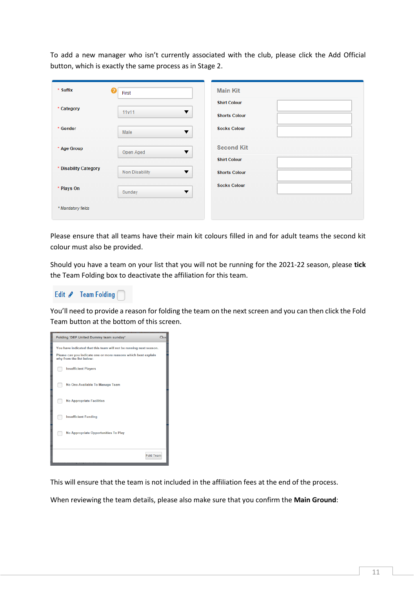To add a new manager who isn't currently associated with the club, please click the Add Official button, which is exactly the same process as in Stage 2.

| * Suffix              | Θ<br>First     | <b>Main Kit</b>           |
|-----------------------|----------------|---------------------------|
| * Category            |                | <b>Shirt Colour</b>       |
|                       | 11v11          | ▼<br><b>Shorts Colour</b> |
| * Gender              | Male           | <b>Socks Colour</b><br>▼  |
| * Age Group           | Open Aged      | <b>Second Kit</b><br>▼    |
|                       |                | <b>Shirt Colour</b>       |
| * Disability Category | Non Disability | ▼<br><b>Shorts Colour</b> |
| * Plays On            | Sunday         | <b>Socks Colour</b><br>▼  |
| * Mandatory fields    |                |                           |
|                       |                |                           |

Please ensure that all teams have their main kit colours filled in and for adult teams the second kit colour must also be provided.

Should you have a team on your list that you will not be running for the 2021-22 season, please **tick** the Team Folding box to deactivate the affiliation for this team.



You'll need to provide a reason for folding the team on the next screen and you can then click the Fold Team button at the bottom of this screen.



This will ensure that the team is not included in the affiliation fees at the end of the process.

When reviewing the team details, please also make sure that you confirm the **Main Ground**: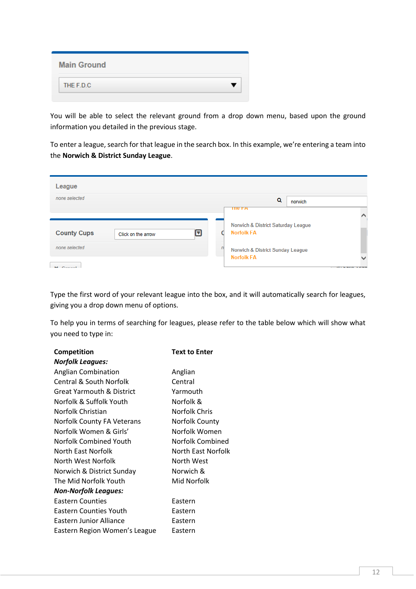| <b>Main Ground</b> |  |
|--------------------|--|
| THE F.D.C.         |  |

You will be able to select the relevant ground from a drop down menu, based upon the ground information you detailed in the previous stage.

To enter a league, search for that league in the search box. In this example, we're entering a team into the **Norwich & District Sunday League**.

| League                           |                    |   |                                                                          |                                                                                   |
|----------------------------------|--------------------|---|--------------------------------------------------------------------------|-----------------------------------------------------------------------------------|
| none selected                    |                    |   | Q<br>norwich                                                             |                                                                                   |
| <b>County Cups</b>               | Click on the arrow | ◘ | <b>THE FA</b><br>Norwich & District Saturday League<br><b>Norfolk FA</b> |                                                                                   |
| none selected<br><b>M</b> Conool |                    |   | $\sqrt{n}$<br>Norwich & District Sunday League<br><b>Norfolk FA</b>      | $-1$ - $-1$ $\sim$ $\frac{1}{2}$ $\sim$ $\frac{1}{2}$ $\sim$ $\sim$ $\sim$ $\sim$ |

Type the first word of your relevant league into the box, and it will automatically search for leagues, giving you a drop down menu of options.

To help you in terms of searching for leagues, please refer to the table below which will show what you need to type in:

| <b>Competition</b>            | <b>Text to Enter</b> |
|-------------------------------|----------------------|
| Norfolk Leagues:              |                      |
| <b>Anglian Combination</b>    | Anglian              |
| Central & South Norfolk       | Central              |
| Great Yarmouth & District     | Yarmouth             |
| Norfolk & Suffolk Youth       | Norfolk &            |
| Norfolk Christian             | Norfolk Chris        |
| Norfolk County FA Veterans    | Norfolk County       |
| Norfolk Women & Girls'        | Norfolk Women        |
| Norfolk Combined Youth        | Norfolk Combined     |
| North East Norfolk            | North East Norfolk   |
| North West Norfolk            | North West           |
| Norwich & District Sunday     | Norwich &            |
| The Mid Norfolk Youth         | Mid Norfolk          |
| <b>Non-Norfolk Leagues:</b>   |                      |
| <b>Eastern Counties</b>       | Eastern              |
| <b>Eastern Counties Youth</b> | Eastern              |
| Eastern Junior Alliance       | Eastern              |
| Eastern Region Women's League | Eastern              |
|                               |                      |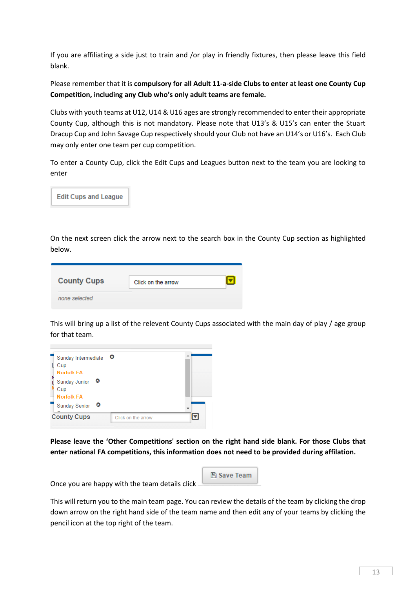If you are affiliating a side just to train and /or play in friendly fixtures, then please leave this field blank.

Please remember that it is **compulsory for all Adult 11-a-side Clubs to enter at least one County Cup Competition, including any Club who's only adult teams are female.**

Clubs with youth teams at U12, U14 & U16 ages are strongly recommended to enter their appropriate County Cup, although this is not mandatory. Please note that U13's & U15's can enter the Stuart Dracup Cup and John Savage Cup respectively should your Club not have an U14's or U16's. Each Club may only enter one team per cup competition.

To enter a County Cup, click the Edit Cups and Leagues button next to the team you are looking to enter



On the next screen click the arrow next to the search box in the County Cup section as highlighted below.

| <b>County Cups</b> | Click on the arrow |  |
|--------------------|--------------------|--|
| none selected      |                    |  |

This will bring up a list of the relevent County Cups associated with the main day of play / age group for that team.



**Please leave the 'Other Competitions' section on the right hand side blank. For those Clubs that enter national FA competitions, this information does not need to be provided during affilation.**

**A** Save Team

Once you are happy with the team details click

This will return you to the main team page. You can review the details of the team by clicking the drop down arrow on the right hand side of the team name and then edit any of your teams by clicking the pencil icon at the top right of the team.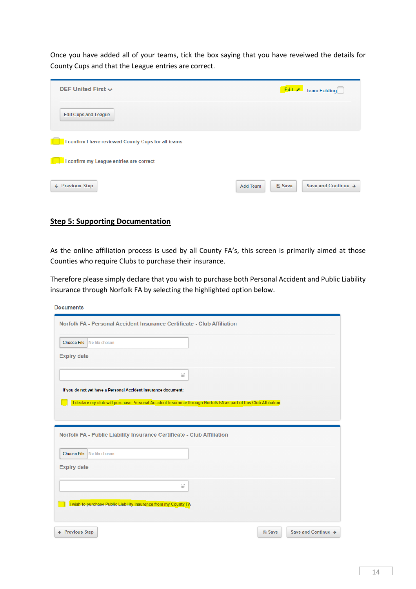Once you have added all of your teams, tick the box saying that you have reveiwed the details for County Cups and that the League entries are correct.

| DEF United First $\sim$                             |                                  | Edit / Team Folding |
|-----------------------------------------------------|----------------------------------|---------------------|
| <b>Edit Cups and League</b>                         |                                  |                     |
| I confirm I have reviewed County Cups for all teams |                                  |                     |
| I confirm my League entries are correct             |                                  |                     |
| ← Previous Step                                     | <b>A</b> Save<br><b>Add Team</b> | Save and Continue → |

#### <span id="page-14-0"></span>**Step 5: Supporting Documentation**

**Barbara** and the

As the online affiliation process is used by all County FA's, this screen is primarily aimed at those Counties who require Clubs to purchase their insurance.

Therefore please simply declare that you wish to purchase both Personal Accident and Public Liability insurance through Norfolk FA by selecting the highlighted option below.

| Documents                                                                                                       |                                      |
|-----------------------------------------------------------------------------------------------------------------|--------------------------------------|
| Norfolk FA - Personal Accident Insurance Certificate - Club Affiliation                                         |                                      |
| <b>Choose File</b><br>No file chosen                                                                            |                                      |
| <b>Expiry date</b>                                                                                              |                                      |
| 雦                                                                                                               |                                      |
| If you do not yet have a Personal Accident Insurance document:                                                  |                                      |
| I declare my club will purchase Personal Accident Insurance through Norfolk FA as part of this Club Affiliation |                                      |
|                                                                                                                 |                                      |
| Norfolk FA - Public Liability Insurance Certificate - Club Affiliation                                          |                                      |
| <b>Choose File</b><br>No file chosen                                                                            |                                      |
| <b>Expiry date</b>                                                                                              |                                      |
| 雦                                                                                                               |                                      |
| I wish to purchase Public Liability Insurance from my County FA                                                 |                                      |
|                                                                                                                 |                                      |
| ← Previous Step                                                                                                 | Save and Continue →<br><b>A</b> Save |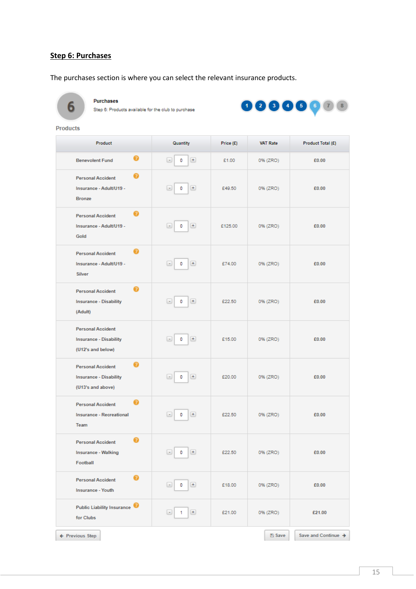## <span id="page-15-0"></span>**Step 6: Purchases**

The purchases section is where you can select the relevant insurance products.



Purchases

Step 6: Products available for the club to purchase



**Products** 

| Product                                                                        | Quantity                                 | Price (£) | <b>VAT Rate</b> | Product Total (£)   |
|--------------------------------------------------------------------------------|------------------------------------------|-----------|-----------------|---------------------|
| Ω<br><b>Benevolent Fund</b>                                                    | $+$<br>$\left( -\right)$<br>0            | £1.00     | 0% (ZRO)        | £0.00               |
| <b>Personal Accident</b><br>Insurance - Adult/U19 -<br><b>Bronze</b>           | $+$<br>0<br>۰                            | £49.50    | 0% (ZRO)        | £0.00               |
| <b>Personal Accident</b><br>Insurance - Adult/U19 -<br>Gold                    | $+$<br>۰<br>0                            | £125.00   | 0% (ZRO)        | £0.00               |
| <b>Personal Accident</b><br>Insurance - Adult/U19 -<br><b>Silver</b>           | $[ + ]$<br>۰<br>0                        | £74.00    | 0% (ZRO)        | £0.00               |
| <b>Personal Accident</b><br><b>Insurance - Disability</b><br>(Adult)           | $[ + ]$<br>0<br>$\overline{\phantom{a}}$ | £22.50    | 0% (ZRO)        | £0.00               |
| <b>Personal Accident</b><br><b>Insurance - Disability</b><br>(U12's and below) | $+$<br>0<br>$\overline{\phantom{a}}$     | £15.00    | 0% (ZRO)        | £0.00               |
| <b>Personal Accident</b><br><b>Insurance - Disability</b><br>(U13's and above) | $+$<br>0<br>٠                            | £20.00    | 0% (ZRO)        | £0.00               |
| <b>Personal Accident</b><br><b>Insurance - Recreational</b><br>Team            | $+$<br>0<br>$\blacksquare$               | £22.50    | 0% (ZRO)        | £0.00               |
| <b>Personal Accident</b><br><b>Insurance - Walking</b><br>Football             | $\boxed{-}$ 0<br>$+$                     | £22.50    | 0% (ZRO)        | £0.00               |
| Ø<br><b>Personal Accident</b><br><b>Insurance - Youth</b>                      | $[+]$<br>$\left  \cdot \right $<br>0     | £18.00    | 0% (ZRO)        | £0.00               |
| Public Liability Insurance<br>for Clubs                                        | $\left( \pm \right)$<br>۰<br>1.          | £21.00    | 0% (ZRO)        | £21.00              |
| ← Previous Step                                                                |                                          |           | <b>图 Save</b>   | Save and Continue → |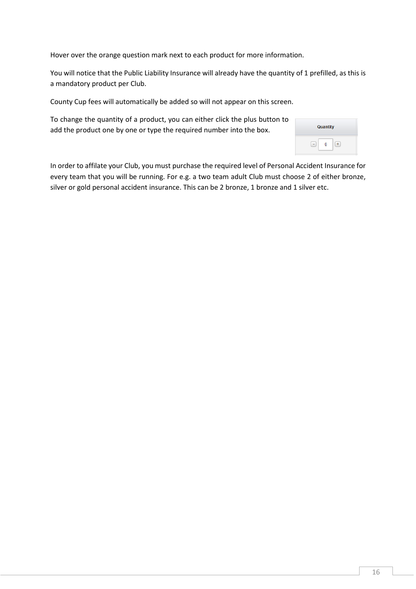Hover over the orange question mark next to each product for more information.

You will notice that the Public Liability Insurance will already have the quantity of 1 prefilled, as this is a mandatory product per Club.

County Cup fees will automatically be added so will not appear on this screen.

To change the quantity of a product, you can either click the plus button to add the product one by one or type the required number into the box.

| Quantity |  |
|----------|--|
|          |  |

In order to affilate your Club, you must purchase the required level of Personal Accident Insurance for every team that you will be running. For e.g. a two team adult Club must choose 2 of either bronze, silver or gold personal accident insurance. This can be 2 bronze, 1 bronze and 1 silver etc.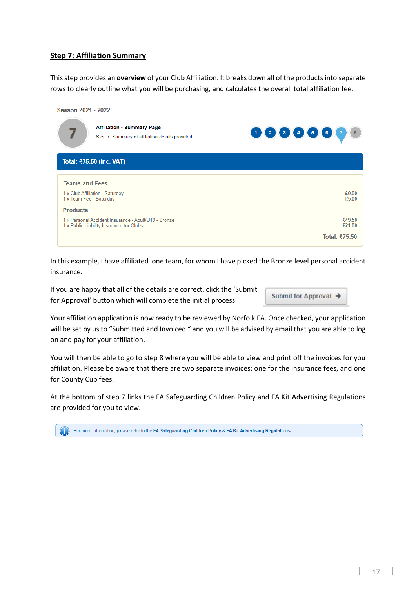## <span id="page-17-0"></span>**Step 7: Affiliation Summary**

This step provides an **overview** of your Club Affiliation. It breaks down all of the productsinto separate rows to clearly outline what you will be purchasing, and calculates the overall total affiliation fee.



In this example, I have affiliated one team, for whom I have picked the Bronze level personal accident insurance.

If you are happy that all of the details are correct, click the 'Submit for Approval' button which will complete the initial process.

Submit for Approval  $\rightarrow$ 

Your affiliation application is now ready to be reviewed by Norfolk FA. Once checked, your application will be set by us to "Submitted and Invoiced" and you will be advised by email that you are able to log on and pay for your affiliation.

You will then be able to go to step 8 where you will be able to view and print off the invoices for you affiliation. Please be aware that there are two separate invoices: one for the insurance fees, and one for County Cup fees.

At the bottom of step 7 links the FA Safeguarding Children Policy and FA Kit Advertising Regulations are provided for you to view.